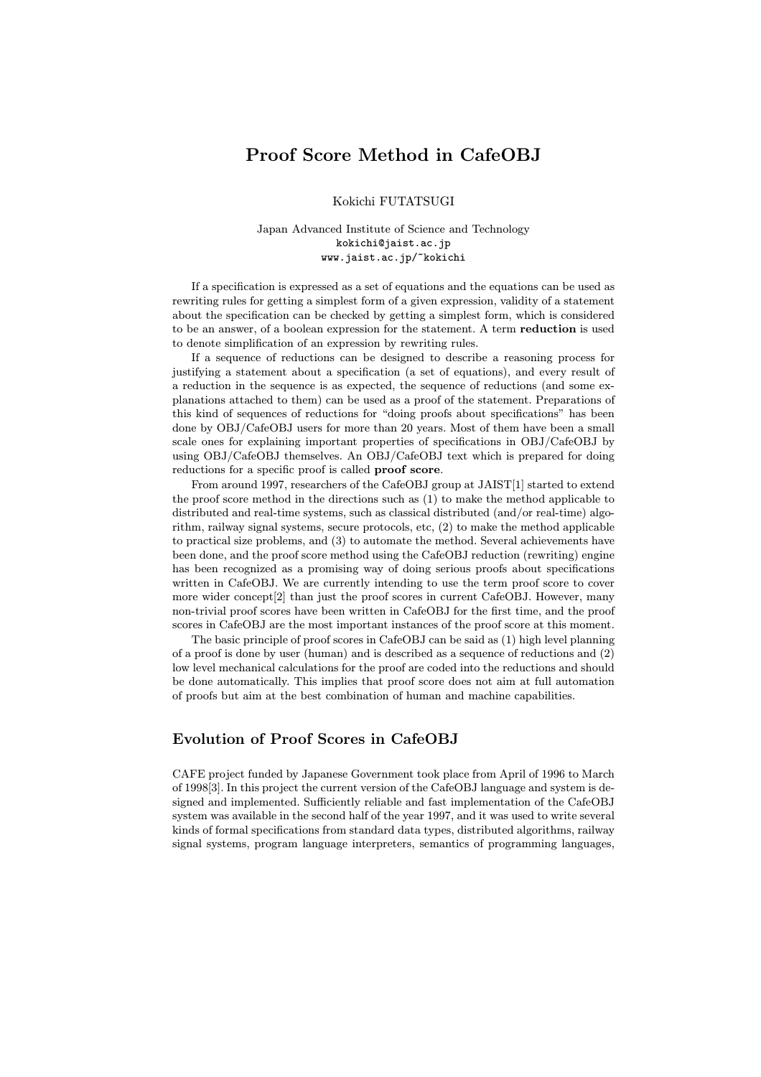# Proof Score Method in CafeOBJ

Kokichi FUTATSUGI

Japan Advanced Institute of Science and Technology kokichi@jaist.ac.jp www.jaist.ac.jp/~kokichi

If a specification is expressed as a set of equations and the equations can be used as rewriting rules for getting a simplest form of a given expression, validity of a statement about the specification can be checked by getting a simplest form, which is considered to be an answer, of a boolean expression for the statement. A term reduction is used to denote simplification of an expression by rewriting rules.

If a sequence of reductions can be designed to describe a reasoning process for justifying a statement about a specification (a set of equations), and every result of a reduction in the sequence is as expected, the sequence of reductions (and some explanations attached to them) can be used as a proof of the statement. Preparations of this kind of sequences of reductions for "doing proofs about specifications" has been done by OBJ/CafeOBJ users for more than 20 years. Most of them have been a small scale ones for explaining important properties of specifications in OBJ/CafeOBJ by using OBJ/CafeOBJ themselves. An OBJ/CafeOBJ text which is prepared for doing reductions for a specific proof is called **proof score**.

From around 1997, researchers of the CafeOBJ group at JAIST[1] started to extend the proof score method in the directions such as (1) to make the method applicable to distributed and real-time systems, such as classical distributed (and/or real-time) algorithm, railway signal systems, secure protocols, etc, (2) to make the method applicable to practical size problems, and (3) to automate the method. Several achievements have been done, and the proof score method using the CafeOBJ reduction (rewriting) engine has been recognized as a promising way of doing serious proofs about specifications written in CafeOBJ. We are currently intending to use the term proof score to cover more wider concept[2] than just the proof scores in current CafeOBJ. However, many non-trivial proof scores have been written in CafeOBJ for the first time, and the proof scores in CafeOBJ are the most important instances of the proof score at this moment.

The basic principle of proof scores in CafeOBJ can be said as (1) high level planning of a proof is done by user (human) and is described as a sequence of reductions and (2) low level mechanical calculations for the proof are coded into the reductions and should be done automatically. This implies that proof score does not aim at full automation of proofs but aim at the best combination of human and machine capabilities.

# Evolution of Proof Scores in CafeOBJ

CAFE project funded by Japanese Government took place from April of 1996 to March of 1998[3]. In this project the current version of the CafeOBJ language and system is designed and implemented. Sufficiently reliable and fast implementation of the CafeOBJ system was available in the second half of the year 1997, and it was used to write several kinds of formal specifications from standard data types, distributed algorithms, railway signal systems, program language interpreters, semantics of programming languages,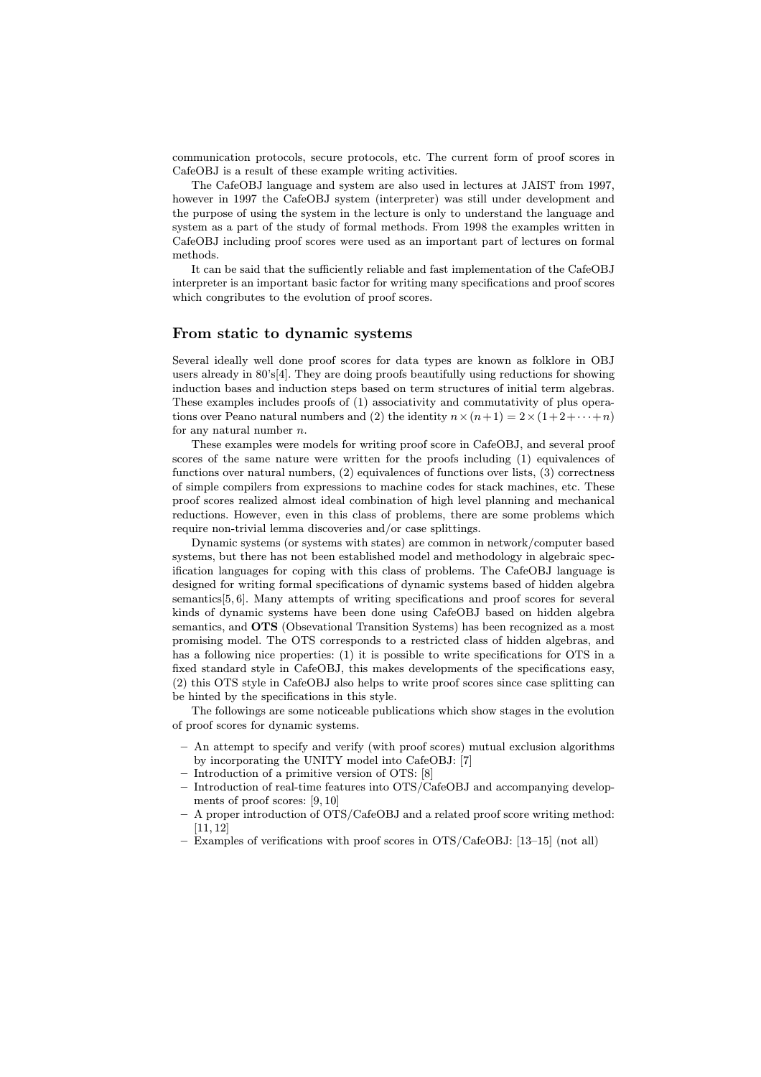communication protocols, secure protocols, etc. The current form of proof scores in CafeOBJ is a result of these example writing activities.

The CafeOBJ language and system are also used in lectures at JAIST from 1997, however in 1997 the CafeOBJ system (interpreter) was still under development and the purpose of using the system in the lecture is only to understand the language and system as a part of the study of formal methods. From 1998 the examples written in CafeOBJ including proof scores were used as an important part of lectures on formal methods.

It can be said that the sufficiently reliable and fast implementation of the CafeOBJ interpreter is an important basic factor for writing many specifications and proof scores which congributes to the evolution of proof scores.

#### From static to dynamic systems

Several ideally well done proof scores for data types are known as folklore in OBJ users already in 80's[4]. They are doing proofs beautifully using reductions for showing induction bases and induction steps based on term structures of initial term algebras. These examples includes proofs of (1) associativity and commutativity of plus operations over Peano natural numbers and (2) the identity  $n \times (n+1) = 2 \times (1+2+\cdots+n)$ for any natural number  $n$ .

These examples were models for writing proof score in CafeOBJ, and several proof scores of the same nature were written for the proofs including (1) equivalences of functions over natural numbers, (2) equivalences of functions over lists, (3) correctness of simple compilers from expressions to machine codes for stack machines, etc. These proof scores realized almost ideal combination of high level planning and mechanical reductions. However, even in this class of problems, there are some problems which require non-trivial lemma discoveries and/or case splittings.

Dynamic systems (or systems with states) are common in network/computer based systems, but there has not been established model and methodology in algebraic specification languages for coping with this class of problems. The CafeOBJ language is designed for writing formal specifications of dynamic systems based of hidden algebra semantics[5, 6]. Many attempts of writing specifications and proof scores for several kinds of dynamic systems have been done using CafeOBJ based on hidden algebra semantics, and OTS (Obsevational Transition Systems) has been recognized as a most promising model. The OTS corresponds to a restricted class of hidden algebras, and has a following nice properties: (1) it is possible to write specifications for OTS in a fixed standard style in CafeOBJ, this makes developments of the specifications easy, (2) this OTS style in CafeOBJ also helps to write proof scores since case splitting can be hinted by the specifications in this style.

The followings are some noticeable publications which show stages in the evolution of proof scores for dynamic systems.

- An attempt to specify and verify (with proof scores) mutual exclusion algorithms by incorporating the UNITY model into CafeOBJ: [7]
- Introduction of a primitive version of OTS: [8]
- Introduction of real-time features into OTS/CafeOBJ and accompanying developments of proof scores: [9, 10]
- A proper introduction of OTS/CafeOBJ and a related proof score writing method: [11, 12]
- Examples of verifications with proof scores in OTS/CafeOBJ: [13—15] (not all)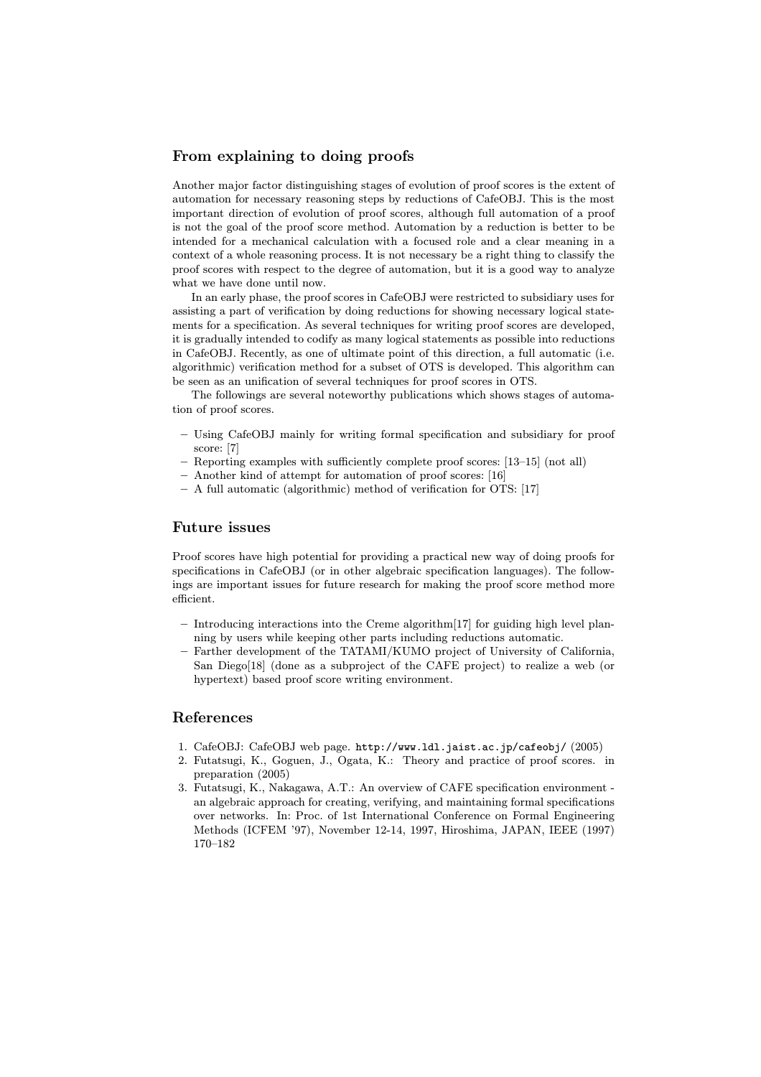## From explaining to doing proofs

Another major factor distinguishing stages of evolution of proof scores is the extent of automation for necessary reasoning steps by reductions of CafeOBJ. This is the most important direction of evolution of proof scores, although full automation of a proof is not the goal of the proof score method. Automation by a reduction is better to be intended for a mechanical calculation with a focused role and a clear meaning in a context of a whole reasoning process. It is not necessary be a right thing to classify the proof scores with respect to the degree of automation, but it is a good way to analyze what we have done until now.

In an early phase, the proof scores in CafeOBJ were restricted to subsidiary uses for assisting a part of verification by doing reductions for showing necessary logical statements for a specification. As several techniques for writing proof scores are developed, it is gradually intended to codify as many logical statements as possible into reductions in CafeOBJ. Recently, as one of ultimate point of this direction, a full automatic (i.e. algorithmic) verification method for a subset of OTS is developed. This algorithm can be seen as an unification of several techniques for proof scores in OTS.

The followings are several noteworthy publications which shows stages of automation of proof scores.

- Using CafeOBJ mainly for writing formal specification and subsidiary for proof score: [7]
- Reporting examples with sufficiently complete proof scores: [13—15] (not all)
- Another kind of attempt for automation of proof scores: [16]
- A full automatic (algorithmic) method of verification for OTS: [17]

#### Future issues

Proof scores have high potential for providing a practical new way of doing proofs for specifications in CafeOBJ (or in other algebraic specification languages). The followings are important issues for future research for making the proof score method more efficient.

- Introducing interactions into the Creme algorithm[17] for guiding high level planning by users while keeping other parts including reductions automatic.
- Farther development of the TATAMI/KUMO project of University of California, San Diego[18] (done as a subproject of the CAFE project) to realize a web (or hypertext) based proof score writing environment.

### References

- 1. CafeOBJ: CafeOBJ web page. http://www.ldl.jaist.ac.jp/cafeobj/ (2005)
- 2. Futatsugi, K., Goguen, J., Ogata, K.: Theory and practice of proof scores. in preparation (2005)
- 3. Futatsugi, K., Nakagawa, A.T.: An overview of CAFE specification environment an algebraic approach for creating, verifying, and maintaining formal specifications over networks. In: Proc. of 1st International Conference on Formal Engineering Methods (ICFEM '97), November 12-14, 1997, Hiroshima, JAPAN, IEEE (1997) 170—182